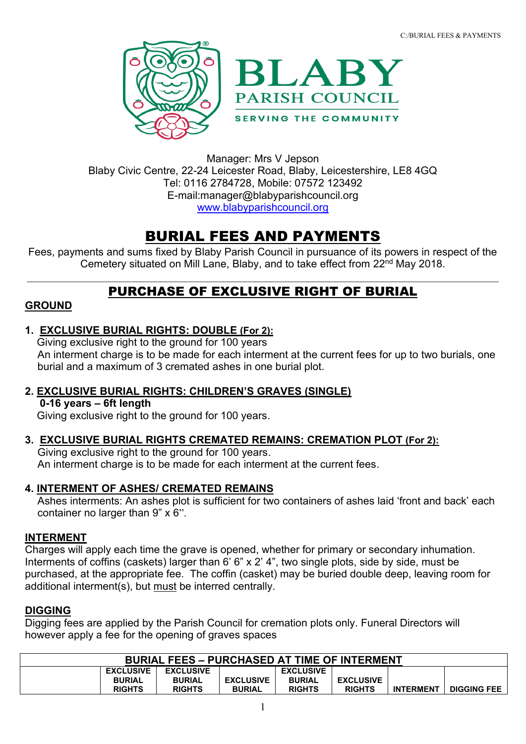



Manager: Mrs V Jepson Blaby Civic Centre, 22-24 Leicester Road, Blaby, Leicestershire, LE8 4GQ Tel: 0116 2784728, Mobile: 07572 123492 E-mail:manager@blabyparishcouncil.org [www.blabyparishcouncil.org](http://www.blabyparishcouncil.org/)

# BURIAL FEES AND PAYMENTS

Fees, payments and sums fixed by Blaby Parish Council in pursuance of its powers in respect of the Cemetery situated on Mill Lane, Blaby, and to take effect from 22<sup>nd</sup> May 2018.

# $\_$  , and the contribution of the contribution of the contribution of the contribution of the contribution of  $\mathcal{L}_\text{max}$ PURCHASE OF EXCLUSIVE RIGHT OF BURIAL

# **GROUND**

**1. EXCLUSIVE BURIAL RIGHTS: DOUBLE (For 2):**

 Giving exclusive right to the ground for 100 years An interment charge is to be made for each interment at the current fees for up to two burials, one burial and a maximum of 3 cremated ashes in one burial plot.

- **2. EXCLUSIVE BURIAL RIGHTS: CHILDREN'S GRAVES (SINGLE) 0-16 years – 6ft length** Giving exclusive right to the ground for 100 years.
- **3. EXCLUSIVE BURIAL RIGHTS CREMATED REMAINS: CREMATION PLOT (For 2):**

Giving exclusive right to the ground for 100 years. An interment charge is to be made for each interment at the current fees.

**4. INTERMENT OF ASHES/ CREMATED REMAINS**

Ashes interments: An ashes plot is sufficient for two containers of ashes laid 'front and back' each container no larger than 9" x 6".

# **INTERMENT**

Charges will apply each time the grave is opened, whether for primary or secondary inhumation. Interments of coffins (caskets) larger than 6' 6" x 2' 4", two single plots, side by side, must be purchased, at the appropriate fee. The coffin (casket) may be buried double deep, leaving room for additional interment(s), but must be interred centrally.

# **DIGGING**

Digging fees are applied by the Parish Council for cremation plots only. Funeral Directors will however apply a fee for the opening of graves spaces

| <b>BURIAL FEES - PURCHASED AT TIME OF INTERMENT</b> |                  |                  |                  |                  |                  |                  |                    |
|-----------------------------------------------------|------------------|------------------|------------------|------------------|------------------|------------------|--------------------|
|                                                     | <b>EXCLUSIVE</b> | <b>EXCLUSIVE</b> |                  | <b>EXCLUSIVE</b> |                  |                  |                    |
|                                                     | <b>BURIAL</b>    | <b>BURIAL</b>    | <b>EXCLUSIVE</b> | <b>BURIAL</b>    | <b>EXCLUSIVE</b> |                  |                    |
|                                                     | <b>RIGHTS</b>    | <b>RIGHTS</b>    | <b>BURIAL</b>    | <b>RIGHTS</b>    | <b>RIGHTS</b>    | <b>INTERMENT</b> | <b>DIGGING FEE</b> |
|                                                     |                  |                  |                  |                  |                  |                  |                    |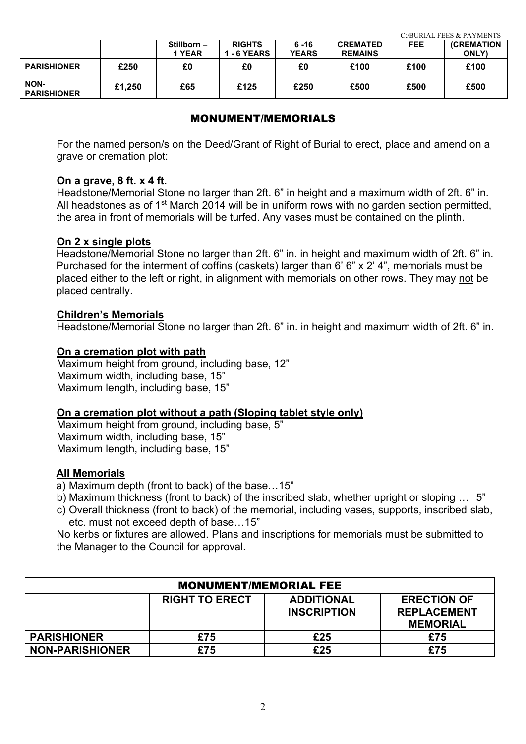|                                   |        |            |                    |              |                 | C:/BURIAL FEES & PAYMENTS |                   |
|-----------------------------------|--------|------------|--------------------|--------------|-----------------|---------------------------|-------------------|
|                                   |        | Stillborn- | <b>RIGHTS</b>      | $6 - 16$     | <b>CREMATED</b> | <b>FEE</b>                | <b>(CREMATION</b> |
|                                   |        | 1 YEAR     | <b>1 - 6 YEARS</b> | <b>YEARS</b> | <b>REMAINS</b>  |                           | <b>ONLY</b>       |
| <b>PARISHIONER</b>                | £250   | £0         | £0                 | £0           | £100            | £100                      | £100              |
| <b>NON-</b><br><b>PARISHIONER</b> | £1,250 | £65        | £125               | £250         | £500            | £500                      | £500              |

#### MONUMENT/MEMORIALS

For the named person/s on the Deed/Grant of Right of Burial to erect, place and amend on a grave or cremation plot:

#### **On a grave, 8 ft. x 4 ft.**

Headstone/Memorial Stone no larger than 2ft. 6" in height and a maximum width of 2ft. 6" in. All headstones as of 1<sup>st</sup> March 2014 will be in uniform rows with no garden section permitted, the area in front of memorials will be turfed. Any vases must be contained on the plinth.

#### **On 2 x single plots**

Headstone/Memorial Stone no larger than 2ft. 6" in. in height and maximum width of 2ft. 6" in. Purchased for the interment of coffins (caskets) larger than 6' 6" x 2' 4", memorials must be placed either to the left or right, in alignment with memorials on other rows. They may not be placed centrally.

#### **Children's Memorials**

Headstone/Memorial Stone no larger than 2ft. 6" in. in height and maximum width of 2ft. 6" in.

#### **On a cremation plot with path**

Maximum height from ground, including base, 12" Maximum width, including base, 15" Maximum length, including base, 15"

#### **On a cremation plot without a path (Sloping tablet style only)**

Maximum height from ground, including base, 5" Maximum width, including base, 15" Maximum length, including base, 15"

#### **All Memorials**

a) Maximum depth (front to back) of the base…15"

- b) Maximum thickness (front to back) of the inscribed slab, whether upright or sloping … 5"
- c) Overall thickness (front to back) of the memorial, including vases, supports, inscribed slab, etc. must not exceed depth of base…15"

No kerbs or fixtures are allowed. Plans and inscriptions for memorials must be submitted to the Manager to the Council for approval.

| <b>MONUMENT/MEMORIAL FEE</b> |                       |                    |                    |  |  |
|------------------------------|-----------------------|--------------------|--------------------|--|--|
|                              | <b>RIGHT TO ERECT</b> | <b>ADDITIONAL</b>  | <b>ERECTION OF</b> |  |  |
|                              |                       | <b>INSCRIPTION</b> | <b>REPLACEMENT</b> |  |  |
|                              |                       |                    | <b>MEMORIAL</b>    |  |  |
| <b>PARISHIONER</b>           | £75                   | £25                | £75                |  |  |
| <b>NON-PARISHIONER</b>       | £75                   | £25                | £75                |  |  |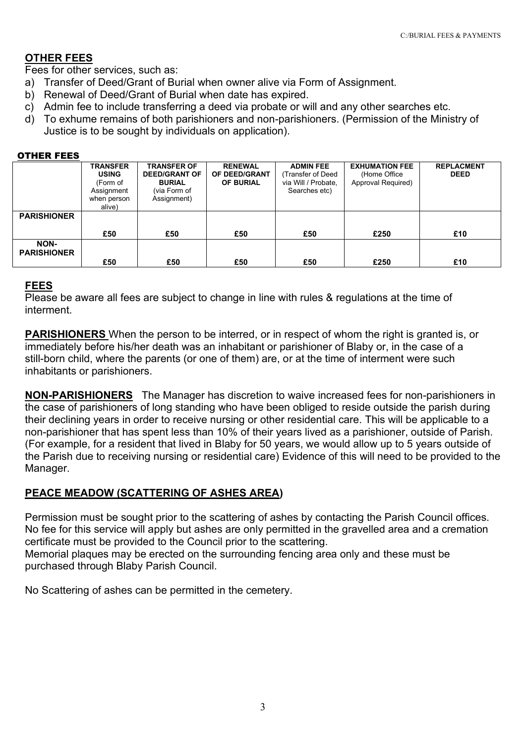### **OTHER FEES**

Fees for other services, such as:

- a) Transfer of Deed/Grant of Burial when owner alive via Form of Assignment.
- b) Renewal of Deed/Grant of Burial when date has expired.
- c) Admin fee to include transferring a deed via probate or will and any other searches etc.
- d) To exhume remains of both parishioners and non-parishioners. (Permission of the Ministry of Justice is to be sought by individuals on application).

#### OTHER FEES

|                            | <b>TRANSFER</b><br><b>USING</b><br>(Form of<br>Assignment<br>when person<br>alive) | <b>TRANSFER OF</b><br><b>DEED/GRANT OF</b><br><b>BURIAL</b><br>(via Form of<br>Assignment) | <b>RENEWAL</b><br>OF DEED/GRANT<br><b>OF BURIAL</b> | <b>ADMIN FEE</b><br>Transfer of Deed<br>via Will / Probate,<br>Searches etc) | <b>EXHUMATION FEE</b><br>(Home Office<br>Approval Required) | <b>REPLACMENT</b><br><b>DEED</b> |
|----------------------------|------------------------------------------------------------------------------------|--------------------------------------------------------------------------------------------|-----------------------------------------------------|------------------------------------------------------------------------------|-------------------------------------------------------------|----------------------------------|
| <b>PARISHIONER</b>         |                                                                                    |                                                                                            |                                                     |                                                                              |                                                             |                                  |
|                            | £50                                                                                | £50                                                                                        | £50                                                 | £50                                                                          | £250                                                        | £10                              |
| NON-<br><b>PARISHIONER</b> |                                                                                    |                                                                                            |                                                     |                                                                              |                                                             |                                  |
|                            | £50                                                                                | £50                                                                                        | £50                                                 | £50                                                                          | £250                                                        | £10                              |

#### **FEES**

Please be aware all fees are subject to change in line with rules & regulations at the time of interment.

**PARISHIONERS** When the person to be interred, or in respect of whom the right is granted is, or immediately before his/her death was an inhabitant or parishioner of Blaby or, in the case of a still-born child, where the parents (or one of them) are, or at the time of interment were such inhabitants or parishioners.

**NON-PARISHIONERS** The Manager has discretion to waive increased fees for non-parishioners in the case of parishioners of long standing who have been obliged to reside outside the parish during their declining years in order to receive nursing or other residential care. This will be applicable to a non-parishioner that has spent less than 10% of their years lived as a parishioner, outside of Parish. (For example, for a resident that lived in Blaby for 50 years, we would allow up to 5 years outside of the Parish due to receiving nursing or residential care) Evidence of this will need to be provided to the Manager.

#### **PEACE MEADOW (SCATTERING OF ASHES AREA)**

Permission must be sought prior to the scattering of ashes by contacting the Parish Council offices. No fee for this service will apply but ashes are only permitted in the gravelled area and a cremation certificate must be provided to the Council prior to the scattering. Memorial plaques may be erected on the surrounding fencing area only and these must be purchased through Blaby Parish Council.

No Scattering of ashes can be permitted in the cemetery.